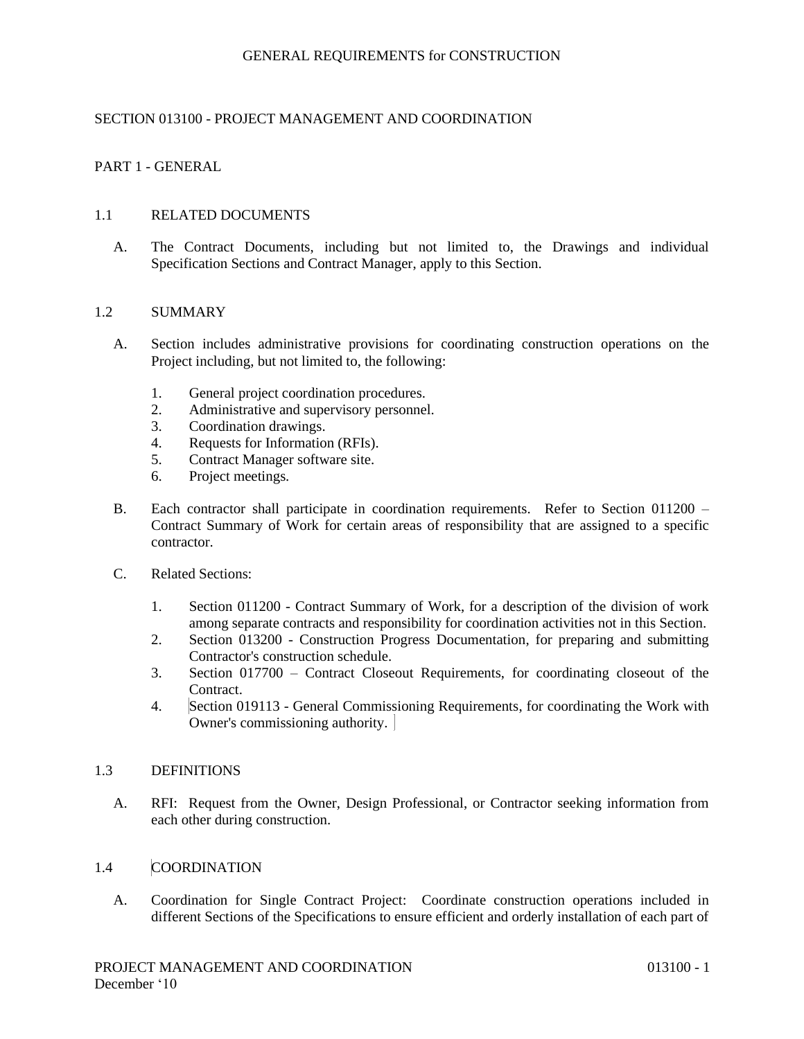# SECTION 013100 - PROJECT MANAGEMENT AND COORDINATION

# PART 1 - GENERAL

## 1.1 RELATED DOCUMENTS

A. The Contract Documents, including but not limited to, the Drawings and individual Specification Sections and Contract Manager, apply to this Section.

## 1.2 SUMMARY

- A. Section includes administrative provisions for coordinating construction operations on the Project including, but not limited to, the following:
	- 1. General project coordination procedures.
	- 2. Administrative and supervisory personnel.
	- 3. Coordination drawings.
	- 4. Requests for Information (RFIs).
	- 5. Contract Manager software site.
	- 6. Project meetings.
- B. Each contractor shall participate in coordination requirements. Refer to Section 011200 Contract Summary of Work for certain areas of responsibility that are assigned to a specific contractor.
- C. Related Sections:
	- 1. Section 011200 Contract Summary of Work, for a description of the division of work among separate contracts and responsibility for coordination activities not in this Section.
	- 2. Section 013200 Construction Progress Documentation, for preparing and submitting Contractor's construction schedule.
	- 3. Section 017700 Contract Closeout Requirements, for coordinating closeout of the Contract.
	- 4. Section 019113 General Commissioning Requirements, for coordinating the Work with Owner's commissioning authority.

#### 1.3 DEFINITIONS

A. RFI: Request from the Owner, Design Professional, or Contractor seeking information from each other during construction.

## 1.4 COORDINATION

A. Coordination for Single Contract Project: Coordinate construction operations included in different Sections of the Specifications to ensure efficient and orderly installation of each part of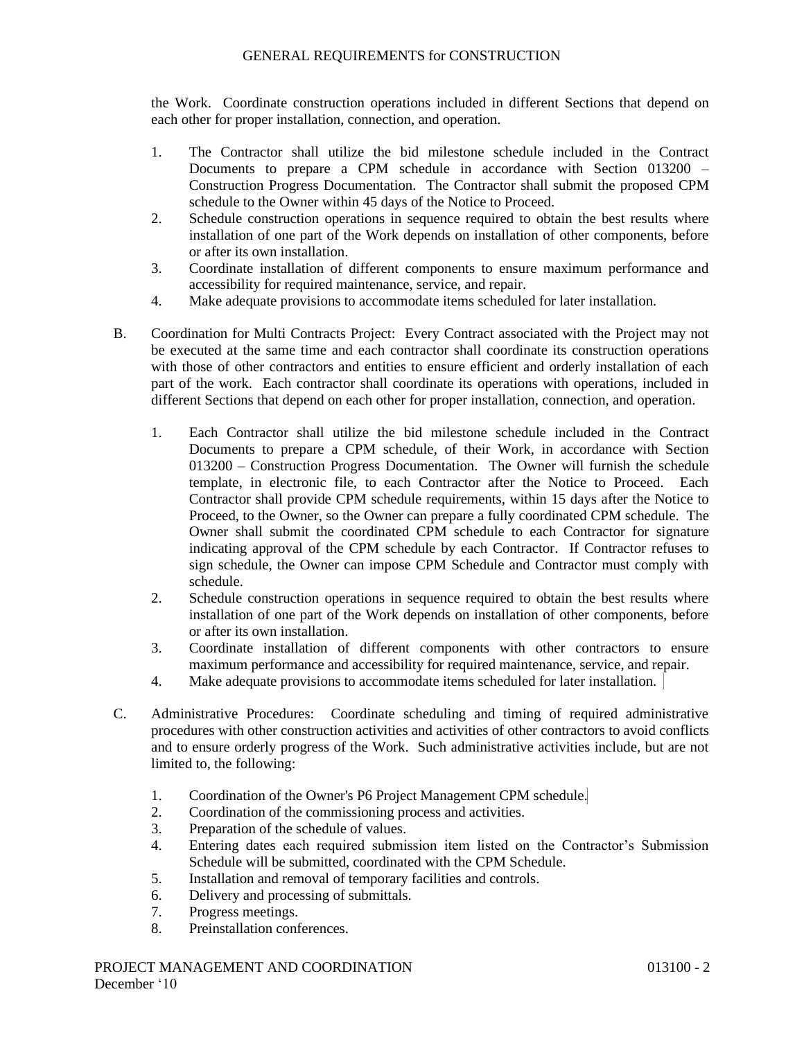the Work. Coordinate construction operations included in different Sections that depend on each other for proper installation, connection, and operation.

- 1. The Contractor shall utilize the bid milestone schedule included in the Contract Documents to prepare a CPM schedule in accordance with Section 013200 – Construction Progress Documentation. The Contractor shall submit the proposed CPM schedule to the Owner within 45 days of the Notice to Proceed.
- 2. Schedule construction operations in sequence required to obtain the best results where installation of one part of the Work depends on installation of other components, before or after its own installation.
- 3. Coordinate installation of different components to ensure maximum performance and accessibility for required maintenance, service, and repair.
- 4. Make adequate provisions to accommodate items scheduled for later installation.
- B. Coordination for Multi Contracts Project: Every Contract associated with the Project may not be executed at the same time and each contractor shall coordinate its construction operations with those of other contractors and entities to ensure efficient and orderly installation of each part of the work. Each contractor shall coordinate its operations with operations, included in different Sections that depend on each other for proper installation, connection, and operation.
	- 1. Each Contractor shall utilize the bid milestone schedule included in the Contract Documents to prepare a CPM schedule, of their Work, in accordance with Section 013200 – Construction Progress Documentation. The Owner will furnish the schedule template, in electronic file, to each Contractor after the Notice to Proceed. Each Contractor shall provide CPM schedule requirements, within 15 days after the Notice to Proceed, to the Owner, so the Owner can prepare a fully coordinated CPM schedule. The Owner shall submit the coordinated CPM schedule to each Contractor for signature indicating approval of the CPM schedule by each Contractor. If Contractor refuses to sign schedule, the Owner can impose CPM Schedule and Contractor must comply with schedule.
	- 2. Schedule construction operations in sequence required to obtain the best results where installation of one part of the Work depends on installation of other components, before or after its own installation.
	- 3. Coordinate installation of different components with other contractors to ensure maximum performance and accessibility for required maintenance, service, and repair.
	- 4. Make adequate provisions to accommodate items scheduled for later installation.
- C. Administrative Procedures: Coordinate scheduling and timing of required administrative procedures with other construction activities and activities of other contractors to avoid conflicts and to ensure orderly progress of the Work. Such administrative activities include, but are not limited to, the following:
	- 1. Coordination of the Owner's P6 Project Management CPM schedule.
	- 2. Coordination of the commissioning process and activities.
	- 3. Preparation of the schedule of values.
	- 4. Entering dates each required submission item listed on the Contractor's Submission Schedule will be submitted, coordinated with the CPM Schedule.
	- 5. Installation and removal of temporary facilities and controls.
	- 6. Delivery and processing of submittals.
	- 7. Progress meetings.
	- 8. Preinstallation conferences.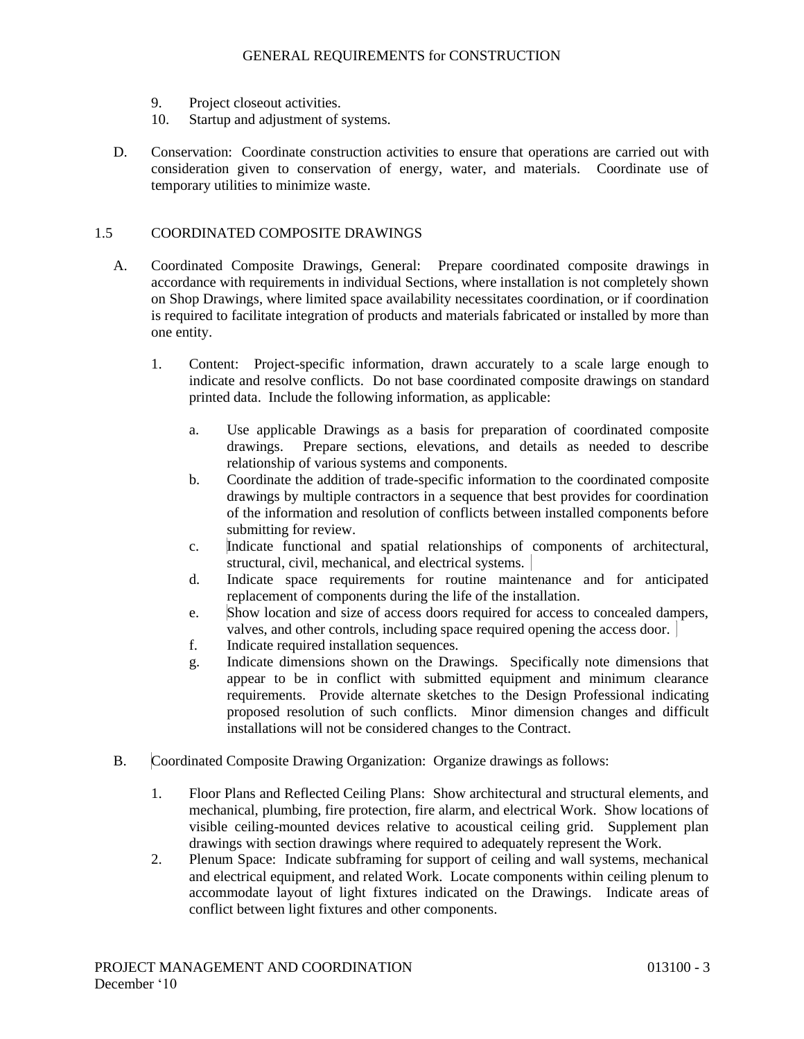- 9. Project closeout activities.
- 10. Startup and adjustment of systems.
- D. Conservation: Coordinate construction activities to ensure that operations are carried out with consideration given to conservation of energy, water, and materials. Coordinate use of temporary utilities to minimize waste.

## 1.5 COORDINATED COMPOSITE DRAWINGS

- A. Coordinated Composite Drawings, General: Prepare coordinated composite drawings in accordance with requirements in individual Sections, where installation is not completely shown on Shop Drawings, where limited space availability necessitates coordination, or if coordination is required to facilitate integration of products and materials fabricated or installed by more than one entity.
	- 1. Content: Project-specific information, drawn accurately to a scale large enough to indicate and resolve conflicts. Do not base coordinated composite drawings on standard printed data. Include the following information, as applicable:
		- a. Use applicable Drawings as a basis for preparation of coordinated composite drawings. Prepare sections, elevations, and details as needed to describe relationship of various systems and components.
		- b. Coordinate the addition of trade-specific information to the coordinated composite drawings by multiple contractors in a sequence that best provides for coordination of the information and resolution of conflicts between installed components before submitting for review.
		- c. Indicate functional and spatial relationships of components of architectural, structural, civil, mechanical, and electrical systems.
		- d. Indicate space requirements for routine maintenance and for anticipated replacement of components during the life of the installation.
		- e. Show location and size of access doors required for access to concealed dampers, valves, and other controls, including space required opening the access door.
		- f. Indicate required installation sequences.
		- g. Indicate dimensions shown on the Drawings. Specifically note dimensions that appear to be in conflict with submitted equipment and minimum clearance requirements. Provide alternate sketches to the Design Professional indicating proposed resolution of such conflicts. Minor dimension changes and difficult installations will not be considered changes to the Contract.
- B. Coordinated Composite Drawing Organization: Organize drawings as follows:
	- 1. Floor Plans and Reflected Ceiling Plans: Show architectural and structural elements, and mechanical, plumbing, fire protection, fire alarm, and electrical Work. Show locations of visible ceiling-mounted devices relative to acoustical ceiling grid. Supplement plan drawings with section drawings where required to adequately represent the Work.
	- 2. Plenum Space: Indicate subframing for support of ceiling and wall systems, mechanical and electrical equipment, and related Work. Locate components within ceiling plenum to accommodate layout of light fixtures indicated on the Drawings. Indicate areas of conflict between light fixtures and other components.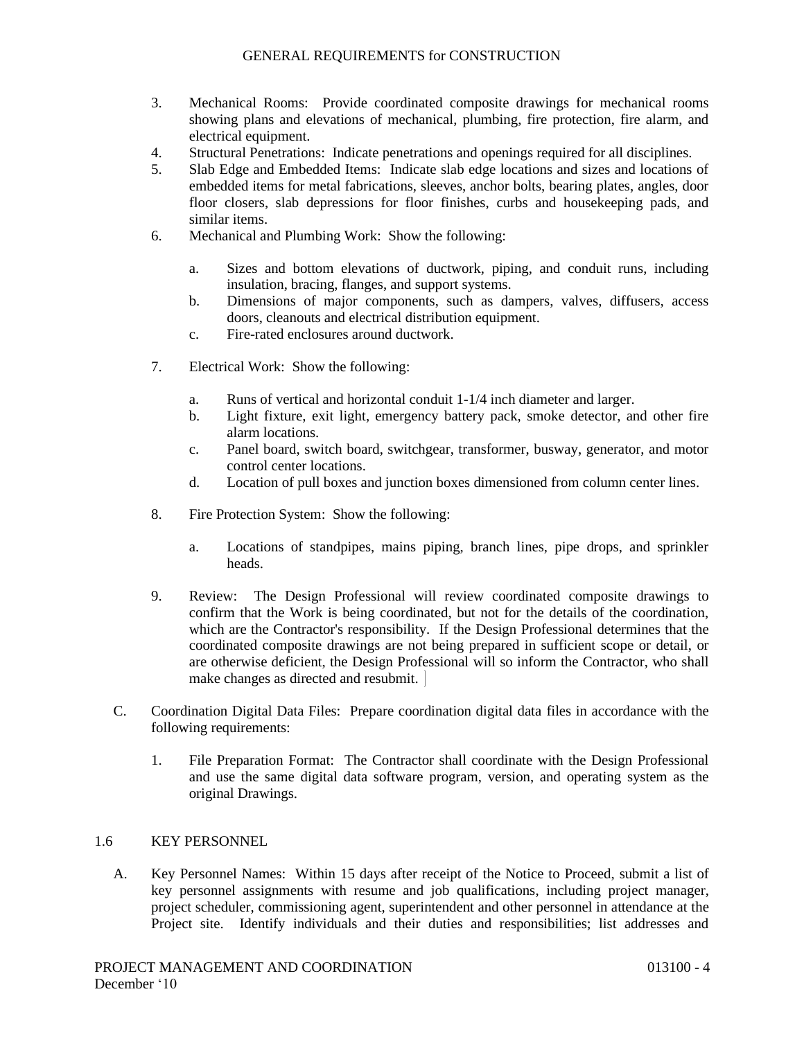- 3. Mechanical Rooms: Provide coordinated composite drawings for mechanical rooms showing plans and elevations of mechanical, plumbing, fire protection, fire alarm, and electrical equipment.
- 4. Structural Penetrations: Indicate penetrations and openings required for all disciplines.
- 5. Slab Edge and Embedded Items: Indicate slab edge locations and sizes and locations of embedded items for metal fabrications, sleeves, anchor bolts, bearing plates, angles, door floor closers, slab depressions for floor finishes, curbs and housekeeping pads, and similar items.
- 6. Mechanical and Plumbing Work: Show the following:
	- a. Sizes and bottom elevations of ductwork, piping, and conduit runs, including insulation, bracing, flanges, and support systems.
	- b. Dimensions of major components, such as dampers, valves, diffusers, access doors, cleanouts and electrical distribution equipment.
	- c. Fire-rated enclosures around ductwork.
- 7. Electrical Work: Show the following:
	- a. Runs of vertical and horizontal conduit 1-1/4 inch diameter and larger.
	- b. Light fixture, exit light, emergency battery pack, smoke detector, and other fire alarm locations.
	- c. Panel board, switch board, switchgear, transformer, busway, generator, and motor control center locations.
	- d. Location of pull boxes and junction boxes dimensioned from column center lines.
- 8. Fire Protection System: Show the following:
	- a. Locations of standpipes, mains piping, branch lines, pipe drops, and sprinkler heads.
- 9. Review: The Design Professional will review coordinated composite drawings to confirm that the Work is being coordinated, but not for the details of the coordination, which are the Contractor's responsibility. If the Design Professional determines that the coordinated composite drawings are not being prepared in sufficient scope or detail, or are otherwise deficient, the Design Professional will so inform the Contractor, who shall make changes as directed and resubmit.
- C. Coordination Digital Data Files: Prepare coordination digital data files in accordance with the following requirements:
	- 1. File Preparation Format: The Contractor shall coordinate with the Design Professional and use the same digital data software program, version, and operating system as the original Drawings.

#### 1.6 KEY PERSONNEL

A. Key Personnel Names: Within 15 days after receipt of the Notice to Proceed, submit a list of key personnel assignments with resume and job qualifications, including project manager, project scheduler, commissioning agent, superintendent and other personnel in attendance at the Project site. Identify individuals and their duties and responsibilities; list addresses and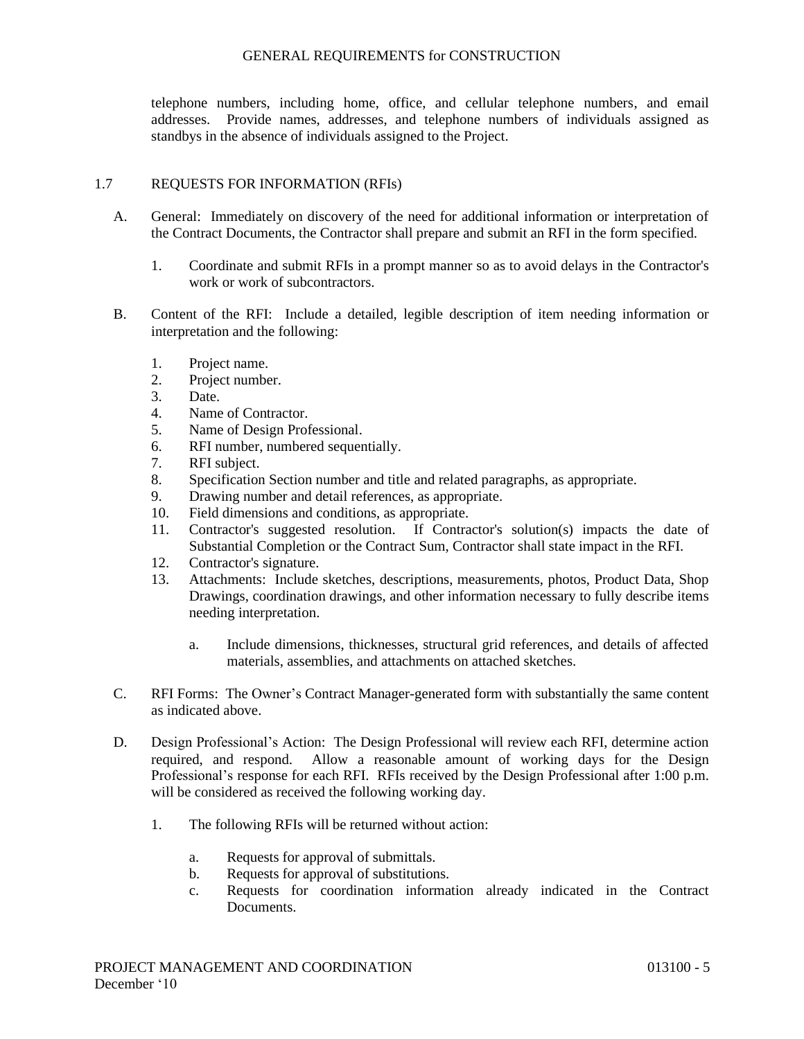telephone numbers, including home, office, and cellular telephone numbers, and email addresses. Provide names, addresses, and telephone numbers of individuals assigned as standbys in the absence of individuals assigned to the Project.

# 1.7 REQUESTS FOR INFORMATION (RFIs)

- A. General: Immediately on discovery of the need for additional information or interpretation of the Contract Documents, the Contractor shall prepare and submit an RFI in the form specified.
	- 1. Coordinate and submit RFIs in a prompt manner so as to avoid delays in the Contractor's work or work of subcontractors.
- B. Content of the RFI: Include a detailed, legible description of item needing information or interpretation and the following:
	- 1. Project name.
	- 2. Project number.
	- 3. Date.
	- 4. Name of Contractor.
	- 5. Name of Design Professional.
	- 6. RFI number, numbered sequentially.
	- 7. RFI subject.
	- 8. Specification Section number and title and related paragraphs, as appropriate.
	- 9. Drawing number and detail references, as appropriate.
	- 10. Field dimensions and conditions, as appropriate.
	- 11. Contractor's suggested resolution. If Contractor's solution(s) impacts the date of Substantial Completion or the Contract Sum, Contractor shall state impact in the RFI.
	- 12. Contractor's signature.
	- 13. Attachments: Include sketches, descriptions, measurements, photos, Product Data, Shop Drawings, coordination drawings, and other information necessary to fully describe items needing interpretation.
		- a. Include dimensions, thicknesses, structural grid references, and details of affected materials, assemblies, and attachments on attached sketches.
- C. RFI Forms: The Owner's Contract Manager-generated form with substantially the same content as indicated above.
- D. Design Professional's Action: The Design Professional will review each RFI, determine action required, and respond. Allow a reasonable amount of working days for the Design Professional's response for each RFI. RFIs received by the Design Professional after 1:00 p.m. will be considered as received the following working day.
	- 1. The following RFIs will be returned without action:
		- a. Requests for approval of submittals.
		- b. Requests for approval of substitutions.
		- c. Requests for coordination information already indicated in the Contract Documents.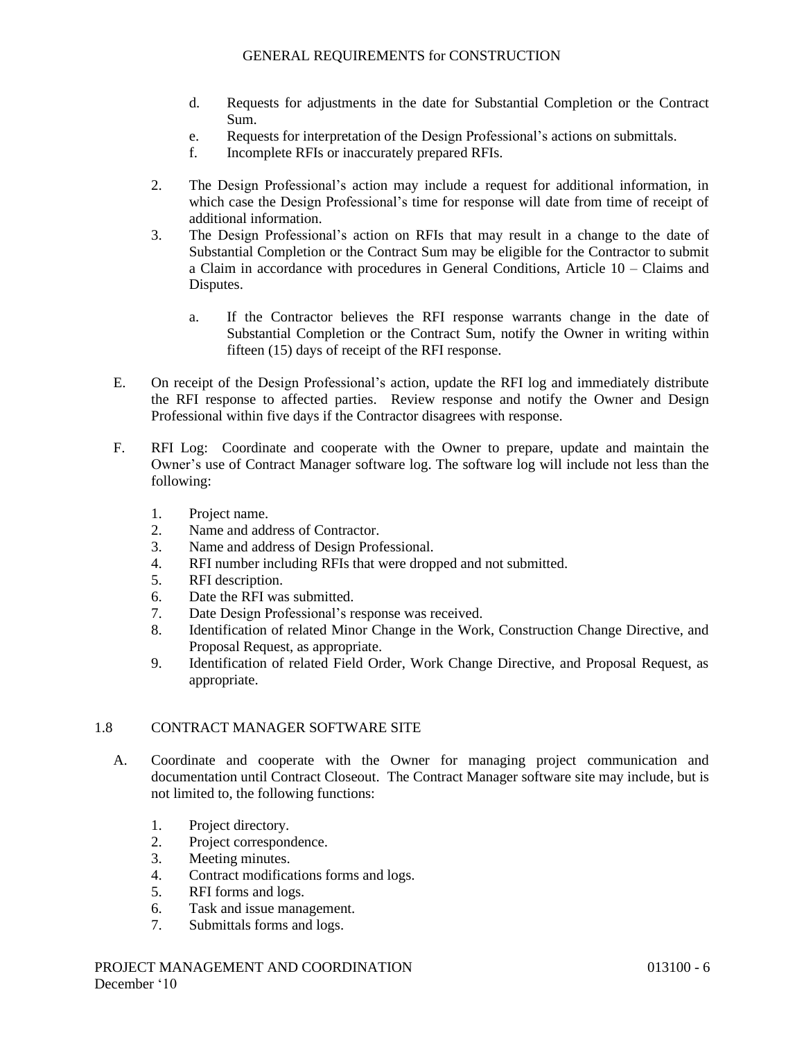- d. Requests for adjustments in the date for Substantial Completion or the Contract Sum.
- e. Requests for interpretation of the Design Professional's actions on submittals.
- f. Incomplete RFIs or inaccurately prepared RFIs.
- 2. The Design Professional's action may include a request for additional information, in which case the Design Professional's time for response will date from time of receipt of additional information.
- 3. The Design Professional's action on RFIs that may result in a change to the date of Substantial Completion or the Contract Sum may be eligible for the Contractor to submit a Claim in accordance with procedures in General Conditions, Article 10 – Claims and Disputes.
	- a. If the Contractor believes the RFI response warrants change in the date of Substantial Completion or the Contract Sum, notify the Owner in writing within fifteen (15) days of receipt of the RFI response.
- E. On receipt of the Design Professional's action, update the RFI log and immediately distribute the RFI response to affected parties. Review response and notify the Owner and Design Professional within five days if the Contractor disagrees with response.
- F. RFI Log: Coordinate and cooperate with the Owner to prepare, update and maintain the Owner's use of Contract Manager software log. The software log will include not less than the following:
	- 1. Project name.
	- 2. Name and address of Contractor.
	- 3. Name and address of Design Professional.
	- 4. RFI number including RFIs that were dropped and not submitted.
	- 5. RFI description.
	- 6. Date the RFI was submitted.
	- 7. Date Design Professional's response was received.
	- 8. Identification of related Minor Change in the Work, Construction Change Directive, and Proposal Request, as appropriate.
	- 9. Identification of related Field Order, Work Change Directive, and Proposal Request, as appropriate.

# 1.8 CONTRACT MANAGER SOFTWARE SITE

- A. Coordinate and cooperate with the Owner for managing project communication and documentation until Contract Closeout. The Contract Manager software site may include, but is not limited to, the following functions:
	- 1. Project directory.
	- 2. Project correspondence.
	- 3. Meeting minutes.
	- 4. Contract modifications forms and logs.
	- 5. RFI forms and logs.
	- 6. Task and issue management.
	- 7. Submittals forms and logs.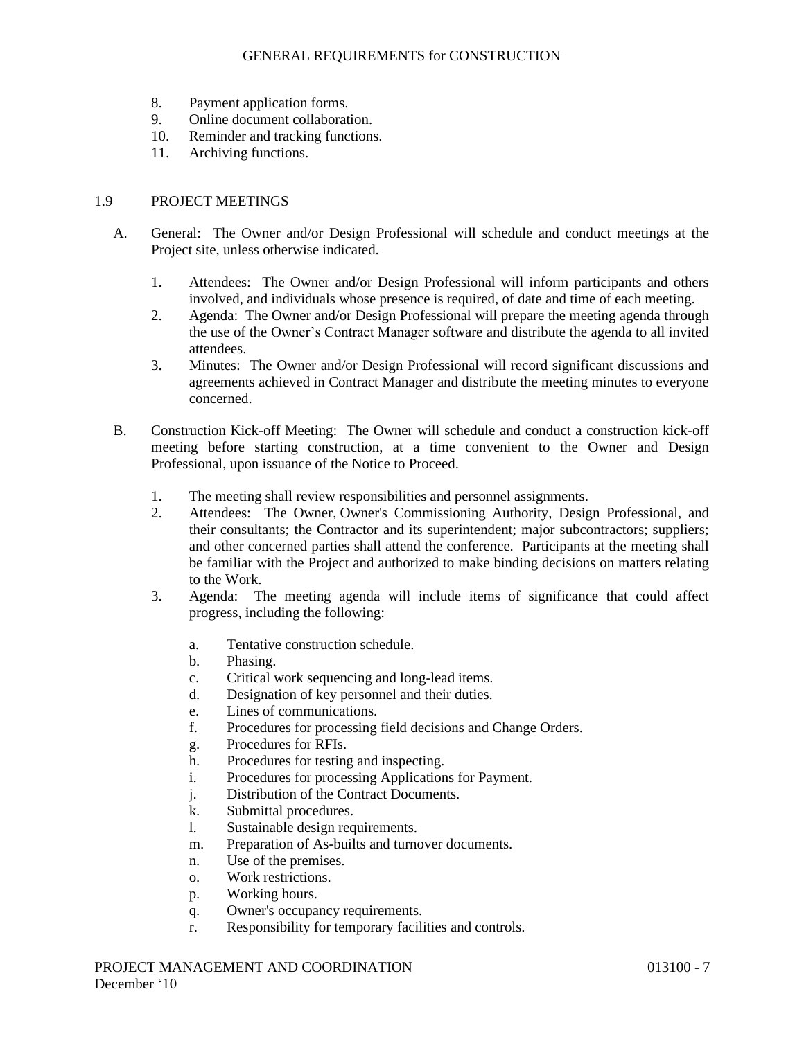- 8. Payment application forms.
- 9. Online document collaboration.
- 10. Reminder and tracking functions.
- 11. Archiving functions.

### 1.9 PROJECT MEETINGS

- A. General: The Owner and/or Design Professional will schedule and conduct meetings at the Project site, unless otherwise indicated.
	- 1. Attendees: The Owner and/or Design Professional will inform participants and others involved, and individuals whose presence is required, of date and time of each meeting.
	- 2. Agenda: The Owner and/or Design Professional will prepare the meeting agenda through the use of the Owner's Contract Manager software and distribute the agenda to all invited attendees.
	- 3. Minutes: The Owner and/or Design Professional will record significant discussions and agreements achieved in Contract Manager and distribute the meeting minutes to everyone concerned.
- B. Construction Kick-off Meeting: The Owner will schedule and conduct a construction kick-off meeting before starting construction, at a time convenient to the Owner and Design Professional, upon issuance of the Notice to Proceed.
	- 1. The meeting shall review responsibilities and personnel assignments.
	- 2. Attendees: The Owner, Owner's Commissioning Authority, Design Professional, and their consultants; the Contractor and its superintendent; major subcontractors; suppliers; and other concerned parties shall attend the conference. Participants at the meeting shall be familiar with the Project and authorized to make binding decisions on matters relating to the Work.
	- 3. Agenda: The meeting agenda will include items of significance that could affect progress, including the following:
		- a. Tentative construction schedule.
		- b. Phasing.
		- c. Critical work sequencing and long-lead items.
		- d. Designation of key personnel and their duties.
		- e. Lines of communications.
		- f. Procedures for processing field decisions and Change Orders.
		- g. Procedures for RFIs.
		- h. Procedures for testing and inspecting.
		- i. Procedures for processing Applications for Payment.
		- j. Distribution of the Contract Documents.
		- k. Submittal procedures.
		- l. Sustainable design requirements.
		- m. Preparation of As-builts and turnover documents.
		- n. Use of the premises.
		- o. Work restrictions.
		- p. Working hours.
		- q. Owner's occupancy requirements.
		- r. Responsibility for temporary facilities and controls.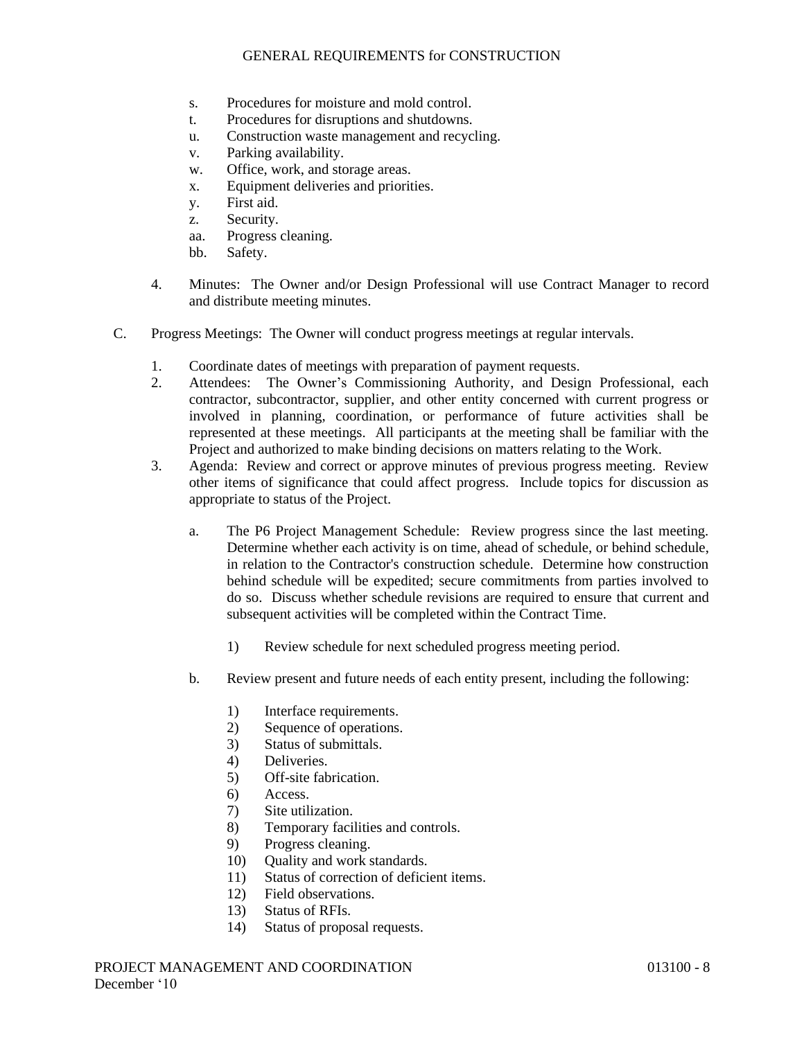- s. Procedures for moisture and mold control.
- t. Procedures for disruptions and shutdowns.
- u. Construction waste management and recycling.
- v. Parking availability.
- w. Office, work, and storage areas.
- x. Equipment deliveries and priorities.
- y. First aid.
- z. Security.
- aa. Progress cleaning.
- bb. Safety.
- 4. Minutes: The Owner and/or Design Professional will use Contract Manager to record and distribute meeting minutes.
- C. Progress Meetings: The Owner will conduct progress meetings at regular intervals.
	- 1. Coordinate dates of meetings with preparation of payment requests.
	- 2. Attendees: The Owner's Commissioning Authority, and Design Professional, each contractor, subcontractor, supplier, and other entity concerned with current progress or involved in planning, coordination, or performance of future activities shall be represented at these meetings. All participants at the meeting shall be familiar with the Project and authorized to make binding decisions on matters relating to the Work.
	- 3. Agenda: Review and correct or approve minutes of previous progress meeting. Review other items of significance that could affect progress. Include topics for discussion as appropriate to status of the Project.
		- a. The P6 Project Management Schedule: Review progress since the last meeting. Determine whether each activity is on time, ahead of schedule, or behind schedule, in relation to the Contractor's construction schedule. Determine how construction behind schedule will be expedited; secure commitments from parties involved to do so. Discuss whether schedule revisions are required to ensure that current and subsequent activities will be completed within the Contract Time.
			- 1) Review schedule for next scheduled progress meeting period.
		- b. Review present and future needs of each entity present, including the following:
			- 1) Interface requirements.
			- 2) Sequence of operations.
			- 3) Status of submittals.
			- 4) Deliveries.
			- 5) Off-site fabrication.
			- 6) Access.
			- 7) Site utilization.
			- 8) Temporary facilities and controls.
			- 9) Progress cleaning.
			- 10) Quality and work standards.
			- 11) Status of correction of deficient items.
			- 12) Field observations.
			- 13) Status of RFIs.
			- 14) Status of proposal requests.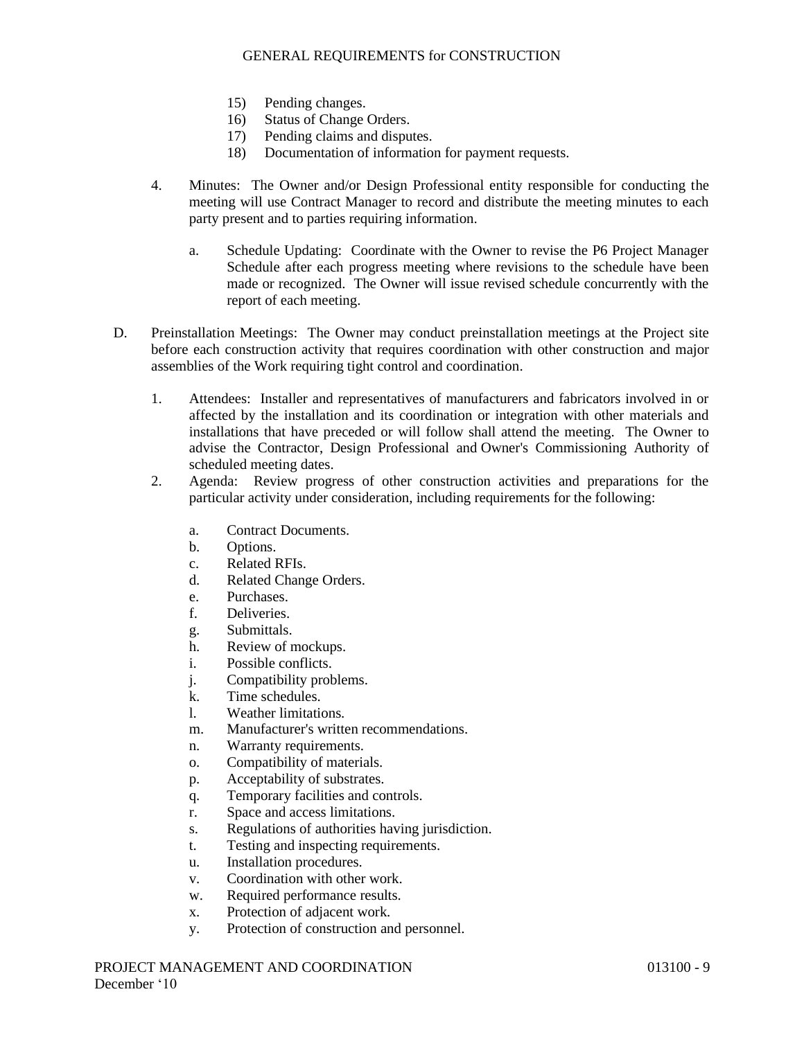- 15) Pending changes.
- 16) Status of Change Orders.
- 17) Pending claims and disputes.
- 18) Documentation of information for payment requests.
- 4. Minutes: The Owner and/or Design Professional entity responsible for conducting the meeting will use Contract Manager to record and distribute the meeting minutes to each party present and to parties requiring information.
	- a. Schedule Updating: Coordinate with the Owner to revise the P6 Project Manager Schedule after each progress meeting where revisions to the schedule have been made or recognized. The Owner will issue revised schedule concurrently with the report of each meeting.
- D. Preinstallation Meetings: The Owner may conduct preinstallation meetings at the Project site before each construction activity that requires coordination with other construction and major assemblies of the Work requiring tight control and coordination.
	- 1. Attendees: Installer and representatives of manufacturers and fabricators involved in or affected by the installation and its coordination or integration with other materials and installations that have preceded or will follow shall attend the meeting. The Owner to advise the Contractor, Design Professional and Owner's Commissioning Authority of scheduled meeting dates.
	- 2. Agenda: Review progress of other construction activities and preparations for the particular activity under consideration, including requirements for the following:
		- a. Contract Documents.
		- b. Options.
		- c. Related RFIs.
		- d. Related Change Orders.
		- e. Purchases.
		- f. Deliveries.
		- g. Submittals.
		- h. Review of mockups.
		- i. Possible conflicts.
		- j. Compatibility problems.
		- k. Time schedules.
		- l. Weather limitations.
		- m. Manufacturer's written recommendations.
		- n. Warranty requirements.
		- o. Compatibility of materials.
		- p. Acceptability of substrates.
		- q. Temporary facilities and controls.
		- r. Space and access limitations.
		- s. Regulations of authorities having jurisdiction.
		- t. Testing and inspecting requirements.
		- u. Installation procedures.
		- v. Coordination with other work.
		- w. Required performance results.
		- x. Protection of adjacent work.
		- y. Protection of construction and personnel.